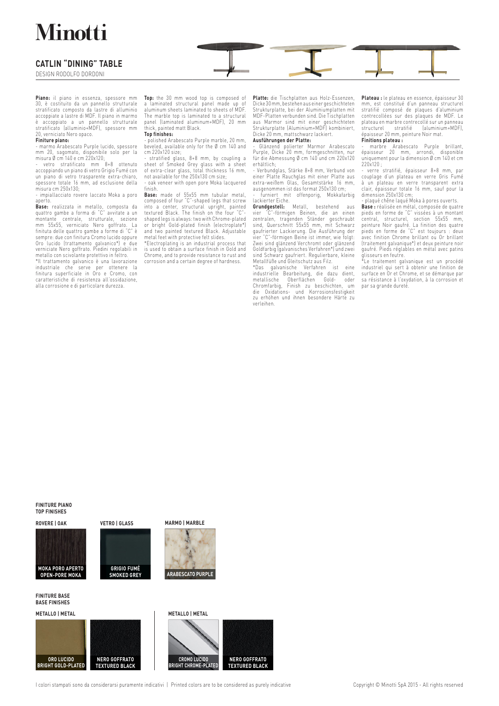## **Minotti**

## **CATLIN "DINING" TABLE**

DESIGN RODOLFO DORDONI

**Piano:** il piano in essenza, spessore mm 30, è costituito da un pannello strutturale stratificato composto da lastre di alluminio accoppiate a lastre di MDF. Il piano in marmo è accoppiato a un pannello strutturale stratificato (alluminio+MDF), spessore mm 20, verniciato Nero opaco. **Finiture piano:** 

- marmo Arabescato Purple lucido, spessore mm 20, sagomato, disponibile solo per la misura Ø cm 140 e cm 220x120;

- vetro stratificato mm 8+8 ottenuto accoppiando un piano di vetro Grigio Fumé con un piano di vetro trasparente extra-chiaro, spessore totale 16 mm, ad esclusione della misura cm 250x130;

- impiallacciato rovere laccato Moka a poro aperto.

**Base:** realizzata in metallo, composta da quattro gambe a forma di C avvitate a un<br>montante centrale, strutturale, sezione<br>mm 55x55, verniciato Nero goffrato. La<br>finituta delle quattro gambe a forme di "C" è<br>sempre: due con finitura Cromo lucido oppure<br>Oro lucido metallo con scivolante protettivo in feltro. \*Il trattamento galvanico è una lavorazione

industriale che serve per ottenere la finitura superficiale in Oro e Cromo, con caratteristiche di resistenza all'ossidazione, alla corrosione e di particolare durezza.

**Top:** the 30 mm wood top is composed of a laminated structural panel made up of aluminum sheets laminated to sheets of MDF. The marble top is laminated to a structural panel (laminated aluminum+MDF), 20 mm thick, painted matt Black.

## **Top finishes:**

- polished Arabescato Purple marble, 20 mm, beveled, available only for the Ø cm 140 and cm 220x120 size;

- stratified glass, 8+8 mm, by coupling a sheet of Smoked Grey glass with a sheet of extra-clear glass, total thickness 16 mm, not available for the 250x130 cm size;

- oak veneer with open pore Moka lacquered<br>finish

finish.<br>**Base:** made of 55x55 mm tubular metal,<br>**com**posed of four "C"-shaped legs that screw<br>into a center, structural upright, painted<br>textured Black. The finish on the four "C"-<br>shaped legs is always: two with Chrome-pl or bright Gold-plated finish (electroplate\*) and two painted textured Black. Adjustable metal feet with protective felt slides.

\*Electroplating is an industrial process that is used to obtain a surface finish in Gold and Chrome, and to provide resistance to rust and corrosion and a certain degree of hardness.

**Platte:** die Tischplatten aus Holz-Essenzen, Dicke 30 mm, bestehen aus einer geschichteten Strukturplatte, bei der Aluminiumplatten mit MDF-Platten verbunden sind. Die Tischplatten aus Marmor sind mit einer geschichteten Strukturplatte (Aluminium+MDF) kombiniert, Dicke 20 mm, mattschwarz lackiert. **Ausführungen der Platte:** 

- Glänzend polierter Marmor Arabescato Purple, Dicke 20 mm, formgeschnitten, nur für die Abmessung Ø cm 140 und cm 220x120 erhältlich;

- Verbundglas, Stärke 8+8 mm, Verbund von einer Platte Rauchglas mit einer Platte aus extra-weißem Glas, Gesamtstärke 16 mm, ausgenommen ist das format 250x130 cm;

- turniert mit offenporig, Mokkafarbig<br>lackierter-Eiche.<br>**Grundgestell:** Metall, bestehend aus

vier "C"-förmigen Beinen, die an einen zentralen, tragenden Ständer geschraubt sind, Querschnitt 55x55 mm, mit Schwarz gaufrierter Lackierung. Die Ausführung der vier "C"-förmigen Beine ist immer, wie folgt: Zwei sind glänzend Verchromt oder glänzend Goldfarbig (galvanisches Verfahren\*) und zwei sind Schwarz gaufriert. Regulierbare, kleine Metallfüße und Gleitschutz aus Filz.

"Uas galvanische Vertahren ist eine<br>industrielle Bearbeitung, die dazu dient,<br>metallische Oberflächen Gold- oder<br>Chromfarbig, Finish zu beschichten, um<br>die Oxidations- und Korrosionsfestigkeit<br>zu erhöhen und ihnen besonder verleihen.

**Plateau :** le plateau en essence, épaisseur 30 mm, est constitué d'un panneau structurel stratifié composé de plaques d'aluminium contrecollées sur des plaques de MDF. Le plateau en marbre contrecollé sur un panneau<br>structurel stratifié (aluminium+MDF) structurel stratifié (aluminium+MDF), épaisseur 20 mm, peinture Noir mat. **Finitions plateau :** 

- marbre Arabescato Purple brillant, épaisseur 20 mm, arrondi, disponible uniquement pour la dimension Ø cm 140 et cm 220x120 ;

- verre stratifié, épaisseur 8+8 mm, par couplage d'un plateau en verre Gris Fumé à un plateau en verre transparent extra clair, épaisseur totale 16 mm, sauf pour la dimension 250x130 cm;

- plaqué chêne laqué Moka à pores ouverts. **Base :** réalisée en métal, composée de quatre pieds en forme de C' vissees a un montant<br>central, structurel, section 55x55 mm,<br>peinture Noir gaufré. La finition des quatre<br>pieds en forme de "C" est toujours : deux<br>avec finition Chrome brillant ou Or brillant<br>(traiteme gaufré. Pieds réglables en métal avec patins

glisseurs en feutre. <sub>trasseurs en reune.</sub><br>Le traitement galvanique est un procédé industriel qui sert à obtenir une finition de surface en Or et Chrome, et se démarque par sa résistance à l'oxydation, à la corrosion et par sa grande dureté.

### **FINITURE PIANO TOP FINISHES**





**FINITURE BASE BASE FINISHES**



**FINITURA BASE BASE FINISH GRIGIO FUMÉ SMOKED GREY**

**VETRO | GLASS**

**MARMO | MARBLE**



METALLO | METAL **METALLO | METALLO | METAL**